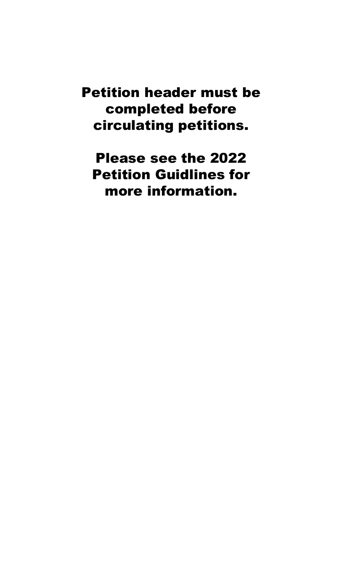Petition header must be completed before circulating petitions.

Please see the 2022 Petition Guidlines for more information.